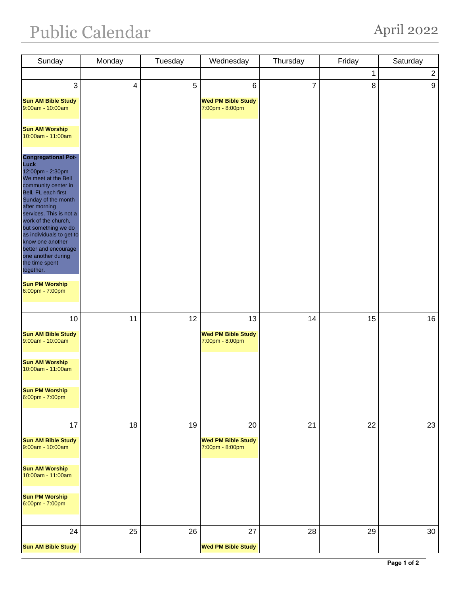## Public Calendar April 2022

| Sunday                                                                                                                                                                                                                                                                                                                                                                    | Monday                  | Tuesday | Wednesday                                    | Thursday       | Friday      | Saturday       |
|---------------------------------------------------------------------------------------------------------------------------------------------------------------------------------------------------------------------------------------------------------------------------------------------------------------------------------------------------------------------------|-------------------------|---------|----------------------------------------------|----------------|-------------|----------------|
|                                                                                                                                                                                                                                                                                                                                                                           |                         |         |                                              |                | $\mathbf 1$ | $\overline{2}$ |
| 3                                                                                                                                                                                                                                                                                                                                                                         | $\overline{\mathbf{4}}$ | 5       | 6                                            | $\overline{7}$ | 8           | 9              |
| <b>Sun AM Bible Study</b><br>9:00am - 10:00am                                                                                                                                                                                                                                                                                                                             |                         |         | <b>Wed PM Bible Study</b><br>7:00pm - 8:00pm |                |             |                |
| <b>Sun AM Worship</b><br>10:00am - 11:00am                                                                                                                                                                                                                                                                                                                                |                         |         |                                              |                |             |                |
| <b>Congregational Pot-</b><br>Luck<br>12:00pm - 2:30pm<br>We meet at the Bell<br>community center in<br>Bell, FL each first<br>Sunday of the month<br>after morning<br>services. This is not a<br>work of the church,<br>but something we do<br>as individuals to get to<br>know one another<br>better and encourage<br>one another during<br>the time spent<br>together. |                         |         |                                              |                |             |                |
| <b>Sun PM Worship</b><br>6:00pm - 7:00pm                                                                                                                                                                                                                                                                                                                                  |                         |         |                                              |                |             |                |
| 10                                                                                                                                                                                                                                                                                                                                                                        | 11                      | 12      | 13                                           | 14             | 15          | 16             |
| <b>Sun AM Bible Study</b><br>9:00am - 10:00am                                                                                                                                                                                                                                                                                                                             |                         |         | <b>Wed PM Bible Study</b><br>7:00pm - 8:00pm |                |             |                |
| <b>Sun AM Worship</b><br>10:00am - 11:00am                                                                                                                                                                                                                                                                                                                                |                         |         |                                              |                |             |                |
| <b>Sun PM Worship</b><br>6:00pm - 7:00pm                                                                                                                                                                                                                                                                                                                                  |                         |         |                                              |                |             |                |
| 17                                                                                                                                                                                                                                                                                                                                                                        | 18                      | 19      | 20                                           | 21             | 22          | 23             |
| <b>Sun AM Bible Study</b><br>9:00am - 10:00am                                                                                                                                                                                                                                                                                                                             |                         |         | <b>Wed PM Bible Study</b><br>7:00pm - 8:00pm |                |             |                |
| <b>Sun AM Worship</b><br>10:00am - 11:00am                                                                                                                                                                                                                                                                                                                                |                         |         |                                              |                |             |                |
| <b>Sun PM Worship</b><br>6:00pm - 7:00pm                                                                                                                                                                                                                                                                                                                                  |                         |         |                                              |                |             |                |
| 24                                                                                                                                                                                                                                                                                                                                                                        | 25                      | 26      | 27                                           | 28             | 29          | 30             |
| <b>Sun AM Bible Study</b>                                                                                                                                                                                                                                                                                                                                                 |                         |         | <b>Wed PM Bible Study</b>                    |                |             |                |